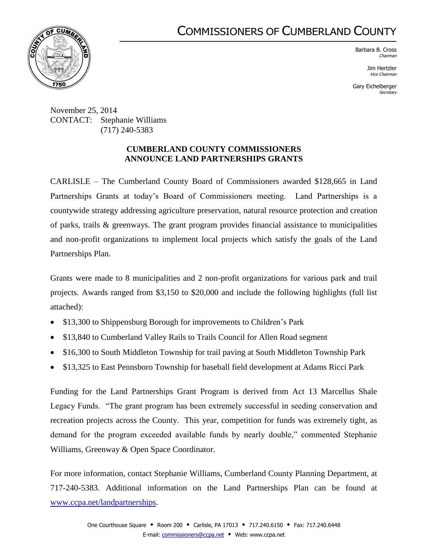## COMMISSIONERS OF CUMBERLAND COUNTY



Barbara B. Cross Chairman

> Jim Hertzler Vice Chairman

Gary Eichelberger **Secretary** 

November 25, 2014 CONTACT: Stephanie Williams (717) 240-5383

## **CUMBERLAND COUNTY COMMISSIONERS ANNOUNCE LAND PARTNERSHIPS GRANTS**

CARLISLE – The Cumberland County Board of Commissioners awarded \$128,665 in Land Partnerships Grants at today's Board of Commissioners meeting. Land Partnerships is a countywide strategy addressing agriculture preservation, natural resource protection and creation of parks, trails & greenways. The grant program provides financial assistance to municipalities and non-profit organizations to implement local projects which satisfy the goals of the Land Partnerships Plan.

Grants were made to 8 municipalities and 2 non-profit organizations for various park and trail projects. Awards ranged from \$3,150 to \$20,000 and include the following highlights (full list attached):

- \$13,300 to Shippensburg Borough for improvements to Children's Park
- \$13,840 to Cumberland Valley Rails to Trails Council for Allen Road segment
- \$16,300 to South Middleton Township for trail paving at South Middleton Township Park
- \$13,325 to East Pennsboro Township for baseball field development at Adams Ricci Park

Funding for the Land Partnerships Grant Program is derived from Act 13 Marcellus Shale Legacy Funds. "The grant program has been extremely successful in seeding conservation and recreation projects across the County. This year, competition for funds was extremely tight, as demand for the program exceeded available funds by nearly double," commented Stephanie Williams, Greenway & Open Space Coordinator.

For more information, contact Stephanie Williams, Cumberland County Planning Department, at 717-240-5383. Additional information on the Land Partnerships Plan can be found at [www.ccpa.net/landpartnerships.](http://www.ccpa.net/landpartnerships)